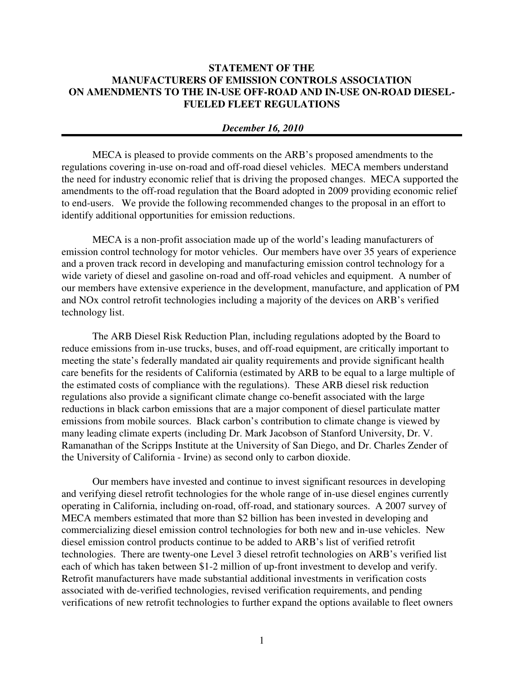## **STATEMENT OF THE MANUFACTURERS OF EMISSION CONTROLS ASSOCIATION ON AMENDMENTS TO THE IN-USE OFF-ROAD AND IN-USE ON-ROAD DIESEL-FUELED FLEET REGULATIONS**

## *December 16, 2010*

MECA is pleased to provide comments on the ARB's proposed amendments to the regulations covering in-use on-road and off-road diesel vehicles. MECA members understand the need for industry economic relief that is driving the proposed changes. MECA supported the amendments to the off-road regulation that the Board adopted in 2009 providing economic relief to end-users. We provide the following recommended changes to the proposal in an effort to identify additional opportunities for emission reductions.

MECA is a non-profit association made up of the world's leading manufacturers of emission control technology for motor vehicles. Our members have over 35 years of experience and a proven track record in developing and manufacturing emission control technology for a wide variety of diesel and gasoline on-road and off-road vehicles and equipment. A number of our members have extensive experience in the development, manufacture, and application of PM and NOx control retrofit technologies including a majority of the devices on ARB's verified technology list.

The ARB Diesel Risk Reduction Plan, including regulations adopted by the Board to reduce emissions from in-use trucks, buses, and off-road equipment, are critically important to meeting the state's federally mandated air quality requirements and provide significant health care benefits for the residents of California (estimated by ARB to be equal to a large multiple of the estimated costs of compliance with the regulations). These ARB diesel risk reduction regulations also provide a significant climate change co-benefit associated with the large reductions in black carbon emissions that are a major component of diesel particulate matter emissions from mobile sources. Black carbon's contribution to climate change is viewed by many leading climate experts (including Dr. Mark Jacobson of Stanford University, Dr. V. Ramanathan of the Scripps Institute at the University of San Diego, and Dr. Charles Zender of the University of California - Irvine) as second only to carbon dioxide.

Our members have invested and continue to invest significant resources in developing and verifying diesel retrofit technologies for the whole range of in-use diesel engines currently operating in California, including on-road, off-road, and stationary sources. A 2007 survey of MECA members estimated that more than \$2 billion has been invested in developing and commercializing diesel emission control technologies for both new and in-use vehicles. New diesel emission control products continue to be added to ARB's list of verified retrofit technologies. There are twenty-one Level 3 diesel retrofit technologies on ARB's verified list each of which has taken between \$1-2 million of up-front investment to develop and verify. Retrofit manufacturers have made substantial additional investments in verification costs associated with de-verified technologies, revised verification requirements, and pending verifications of new retrofit technologies to further expand the options available to fleet owners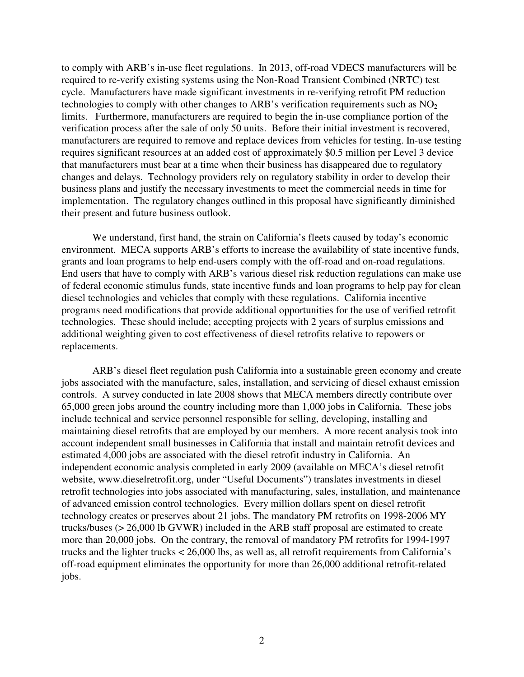to comply with ARB's in-use fleet regulations. In 2013, off-road VDECS manufacturers will be required to re-verify existing systems using the Non-Road Transient Combined (NRTC) test cycle. Manufacturers have made significant investments in re-verifying retrofit PM reduction technologies to comply with other changes to ARB's verification requirements such as  $NO<sub>2</sub>$ limits. Furthermore, manufacturers are required to begin the in-use compliance portion of the verification process after the sale of only 50 units. Before their initial investment is recovered, manufacturers are required to remove and replace devices from vehicles for testing. In-use testing requires significant resources at an added cost of approximately \$0.5 million per Level 3 device that manufacturers must bear at a time when their business has disappeared due to regulatory changes and delays. Technology providers rely on regulatory stability in order to develop their business plans and justify the necessary investments to meet the commercial needs in time for implementation. The regulatory changes outlined in this proposal have significantly diminished their present and future business outlook.

We understand, first hand, the strain on California's fleets caused by today's economic environment. MECA supports ARB's efforts to increase the availability of state incentive funds, grants and loan programs to help end-users comply with the off-road and on-road regulations. End users that have to comply with ARB's various diesel risk reduction regulations can make use of federal economic stimulus funds, state incentive funds and loan programs to help pay for clean diesel technologies and vehicles that comply with these regulations. California incentive programs need modifications that provide additional opportunities for the use of verified retrofit technologies. These should include; accepting projects with 2 years of surplus emissions and additional weighting given to cost effectiveness of diesel retrofits relative to repowers or replacements.

ARB's diesel fleet regulation push California into a sustainable green economy and create jobs associated with the manufacture, sales, installation, and servicing of diesel exhaust emission controls. A survey conducted in late 2008 shows that MECA members directly contribute over 65,000 green jobs around the country including more than 1,000 jobs in California. These jobs include technical and service personnel responsible for selling, developing, installing and maintaining diesel retrofits that are employed by our members. A more recent analysis took into account independent small businesses in California that install and maintain retrofit devices and estimated 4,000 jobs are associated with the diesel retrofit industry in California. An independent economic analysis completed in early 2009 (available on MECA's diesel retrofit website, www.dieselretrofit.org, under "Useful Documents") translates investments in diesel retrofit technologies into jobs associated with manufacturing, sales, installation, and maintenance of advanced emission control technologies. Every million dollars spent on diesel retrofit technology creates or preserves about 21 jobs. The mandatory PM retrofits on 1998-2006 MY trucks/buses (> 26,000 lb GVWR) included in the ARB staff proposal are estimated to create more than 20,000 jobs. On the contrary, the removal of mandatory PM retrofits for 1994-1997 trucks and the lighter trucks < 26,000 lbs, as well as, all retrofit requirements from California's off-road equipment eliminates the opportunity for more than 26,000 additional retrofit-related jobs.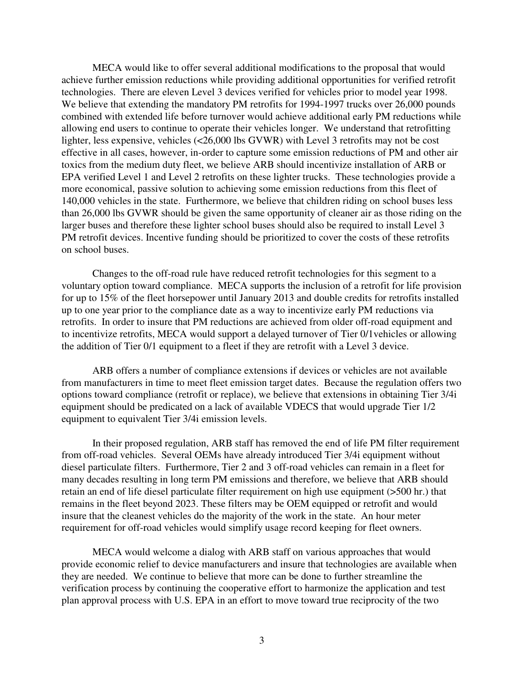MECA would like to offer several additional modifications to the proposal that would achieve further emission reductions while providing additional opportunities for verified retrofit technologies. There are eleven Level 3 devices verified for vehicles prior to model year 1998. We believe that extending the mandatory PM retrofits for 1994-1997 trucks over 26,000 pounds combined with extended life before turnover would achieve additional early PM reductions while allowing end users to continue to operate their vehicles longer. We understand that retrofitting lighter, less expensive, vehicles (<26,000 lbs GVWR) with Level 3 retrofits may not be cost effective in all cases, however, in-order to capture some emission reductions of PM and other air toxics from the medium duty fleet, we believe ARB should incentivize installation of ARB or EPA verified Level 1 and Level 2 retrofits on these lighter trucks. These technologies provide a more economical, passive solution to achieving some emission reductions from this fleet of 140,000 vehicles in the state. Furthermore, we believe that children riding on school buses less than 26,000 lbs GVWR should be given the same opportunity of cleaner air as those riding on the larger buses and therefore these lighter school buses should also be required to install Level 3 PM retrofit devices. Incentive funding should be prioritized to cover the costs of these retrofits on school buses.

Changes to the off-road rule have reduced retrofit technologies for this segment to a voluntary option toward compliance. MECA supports the inclusion of a retrofit for life provision for up to 15% of the fleet horsepower until January 2013 and double credits for retrofits installed up to one year prior to the compliance date as a way to incentivize early PM reductions via retrofits. In order to insure that PM reductions are achieved from older off-road equipment and to incentivize retrofits, MECA would support a delayed turnover of Tier 0/1vehicles or allowing the addition of Tier 0/1 equipment to a fleet if they are retrofit with a Level 3 device.

 ARB offers a number of compliance extensions if devices or vehicles are not available from manufacturers in time to meet fleet emission target dates. Because the regulation offers two options toward compliance (retrofit or replace), we believe that extensions in obtaining Tier 3/4i equipment should be predicated on a lack of available VDECS that would upgrade Tier 1/2 equipment to equivalent Tier 3/4i emission levels.

 In their proposed regulation, ARB staff has removed the end of life PM filter requirement from off-road vehicles. Several OEMs have already introduced Tier 3/4i equipment without diesel particulate filters. Furthermore, Tier 2 and 3 off-road vehicles can remain in a fleet for many decades resulting in long term PM emissions and therefore, we believe that ARB should retain an end of life diesel particulate filter requirement on high use equipment (>500 hr.) that remains in the fleet beyond 2023. These filters may be OEM equipped or retrofit and would insure that the cleanest vehicles do the majority of the work in the state. An hour meter requirement for off-road vehicles would simplify usage record keeping for fleet owners.

MECA would welcome a dialog with ARB staff on various approaches that would provide economic relief to device manufacturers and insure that technologies are available when they are needed. We continue to believe that more can be done to further streamline the verification process by continuing the cooperative effort to harmonize the application and test plan approval process with U.S. EPA in an effort to move toward true reciprocity of the two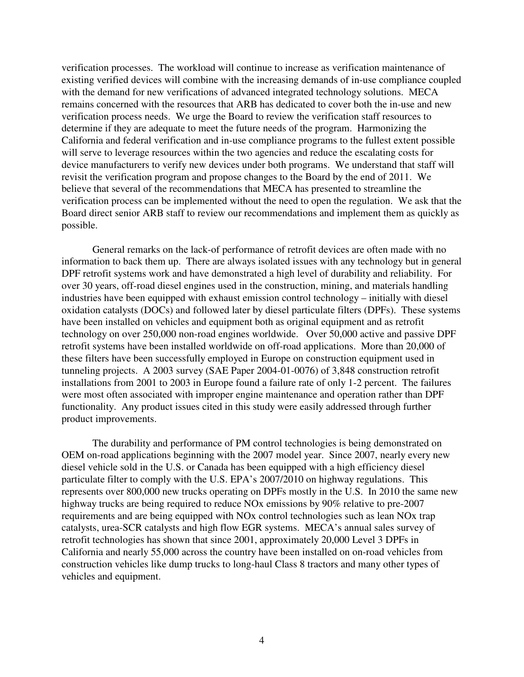verification processes. The workload will continue to increase as verification maintenance of existing verified devices will combine with the increasing demands of in-use compliance coupled with the demand for new verifications of advanced integrated technology solutions. MECA remains concerned with the resources that ARB has dedicated to cover both the in-use and new verification process needs. We urge the Board to review the verification staff resources to determine if they are adequate to meet the future needs of the program. Harmonizing the California and federal verification and in-use compliance programs to the fullest extent possible will serve to leverage resources within the two agencies and reduce the escalating costs for device manufacturers to verify new devices under both programs. We understand that staff will revisit the verification program and propose changes to the Board by the end of 2011. We believe that several of the recommendations that MECA has presented to streamline the verification process can be implemented without the need to open the regulation. We ask that the Board direct senior ARB staff to review our recommendations and implement them as quickly as possible.

General remarks on the lack-of performance of retrofit devices are often made with no information to back them up. There are always isolated issues with any technology but in general DPF retrofit systems work and have demonstrated a high level of durability and reliability. For over 30 years, off-road diesel engines used in the construction, mining, and materials handling industries have been equipped with exhaust emission control technology – initially with diesel oxidation catalysts (DOCs) and followed later by diesel particulate filters (DPFs). These systems have been installed on vehicles and equipment both as original equipment and as retrofit technology on over 250,000 non-road engines worldwide. Over 50,000 active and passive DPF retrofit systems have been installed worldwide on off-road applications. More than 20,000 of these filters have been successfully employed in Europe on construction equipment used in tunneling projects. A 2003 survey (SAE Paper 2004-01-0076) of 3,848 construction retrofit installations from 2001 to 2003 in Europe found a failure rate of only 1-2 percent. The failures were most often associated with improper engine maintenance and operation rather than DPF functionality. Any product issues cited in this study were easily addressed through further product improvements.

The durability and performance of PM control technologies is being demonstrated on OEM on-road applications beginning with the 2007 model year. Since 2007, nearly every new diesel vehicle sold in the U.S. or Canada has been equipped with a high efficiency diesel particulate filter to comply with the U.S. EPA's 2007/2010 on highway regulations. This represents over 800,000 new trucks operating on DPFs mostly in the U.S. In 2010 the same new highway trucks are being required to reduce NOx emissions by 90% relative to pre-2007 requirements and are being equipped with NOx control technologies such as lean NOx trap catalysts, urea-SCR catalysts and high flow EGR systems. MECA's annual sales survey of retrofit technologies has shown that since 2001, approximately 20,000 Level 3 DPFs in California and nearly 55,000 across the country have been installed on on-road vehicles from construction vehicles like dump trucks to long-haul Class 8 tractors and many other types of vehicles and equipment.